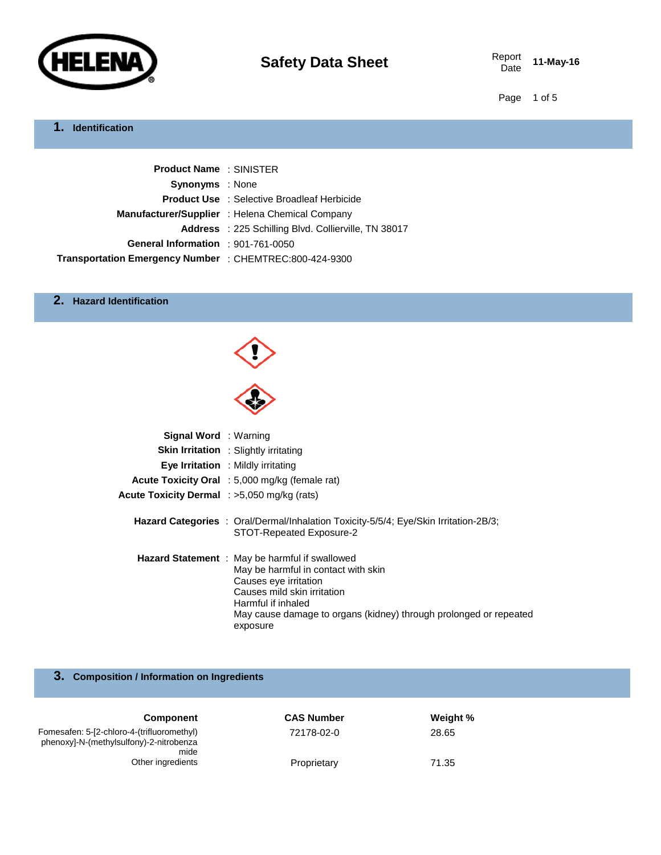

Report **11-May-16** 

Page 1 of 5

# **1. Identification**

| <b>Product Name: SINISTER</b>                           |                                                             |
|---------------------------------------------------------|-------------------------------------------------------------|
| <b>Synonyms</b> : None                                  |                                                             |
|                                                         | <b>Product Use</b> : Selective Broadleaf Herbicide          |
|                                                         | Manufacturer/Supplier : Helena Chemical Company             |
|                                                         | <b>Address</b> : 225 Schilling Blvd. Collierville, TN 38017 |
| General Information : 901-761-0050                      |                                                             |
| Transportation Emergency Number : CHEMTREC:800-424-9300 |                                                             |

### **2. Hazard Identification**

| <b>Signal Word</b> : Warning                       |                                                                                                                                                                                                                                                             |
|----------------------------------------------------|-------------------------------------------------------------------------------------------------------------------------------------------------------------------------------------------------------------------------------------------------------------|
|                                                    | <b>Skin Irritation</b> : Slightly irritating                                                                                                                                                                                                                |
|                                                    | Eye Irritation : Mildly irritating                                                                                                                                                                                                                          |
|                                                    | Acute Toxicity Oral : 5,000 mg/kg (female rat)                                                                                                                                                                                                              |
| <b>Acute Toxicity Dermal</b> : >5,050 mg/kg (rats) |                                                                                                                                                                                                                                                             |
|                                                    | <b>Hazard Categories</b> : Oral/Dermal/Inhalation Toxicity-5/5/4; Eye/Skin Irritation-2B/3;<br>STOT-Repeated Exposure-2                                                                                                                                     |
|                                                    | <b>Hazard Statement</b> : May be harmful if swallowed<br>May be harmful in contact with skin<br>Causes eye irritation<br>Causes mild skin irritation<br>Harmful if inhaled<br>May cause damage to organs (kidney) through prolonged or repeated<br>exposure |

## **3. Composition / Information on Ingredients**

| <b>Component</b>                                                                              | <b>CAS Number</b> | Weight % |  |
|-----------------------------------------------------------------------------------------------|-------------------|----------|--|
| Fomesafen: 5-[2-chloro-4-(trifluoromethyl)<br>phenoxyl-N-(methylsulfony)-2-nitrobenza<br>mide | 72178-02-0        | 28.65    |  |
| Other ingredients                                                                             | Proprietary       | 71.35    |  |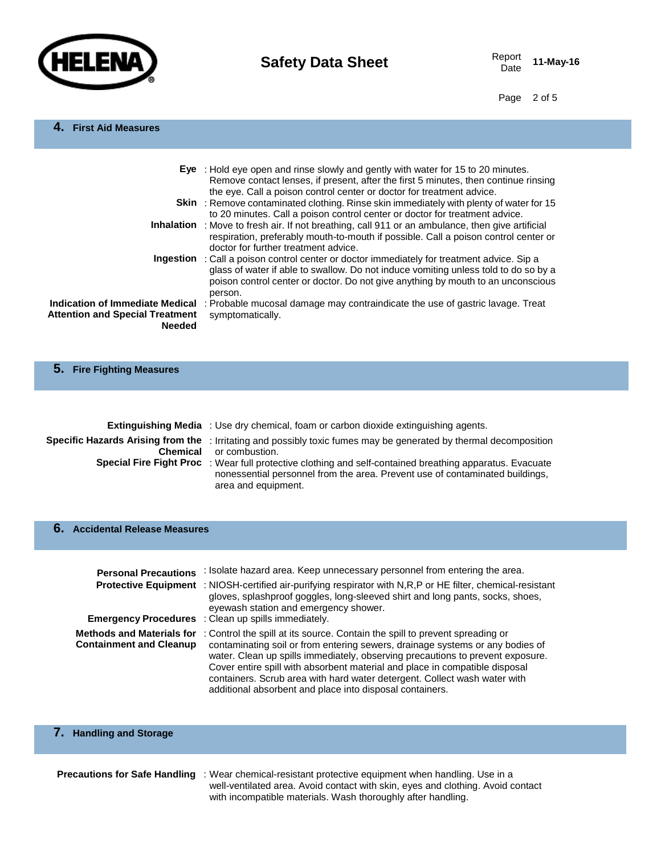

Date **11-May-16**

Page 2 of 5

#### **4. First Aid Measures**

|                                                                                            | <b>Eye</b> : Hold eye open and rinse slowly and gently with water for 15 to 20 minutes.<br>Remove contact lenses, if present, after the first 5 minutes, then continue rinsing<br>the eye. Call a poison control center or doctor for treatment advice.                                 |
|--------------------------------------------------------------------------------------------|-----------------------------------------------------------------------------------------------------------------------------------------------------------------------------------------------------------------------------------------------------------------------------------------|
|                                                                                            | <b>Skin</b> : Remove contaminated clothing. Rinse skin immediately with plenty of water for 15<br>to 20 minutes. Call a poison control center or doctor for treatment advice.                                                                                                           |
|                                                                                            | Inhalation : Move to fresh air. If not breathing, call 911 or an ambulance, then give artificial<br>respiration, preferably mouth-to-mouth if possible. Call a poison control center or<br>doctor for further treatment advice.                                                         |
|                                                                                            | <b>Ingestion</b> : Call a poison control center or doctor immediately for treatment advice. Sip a<br>glass of water if able to swallow. Do not induce vomiting unless told to do so by a<br>poison control center or doctor. Do not give anything by mouth to an unconscious<br>person. |
| Indication of Immediate Medical<br><b>Attention and Special Treatment</b><br><b>Needed</b> | : Probable mucosal damage may contraindicate the use of gastric lavage. Treat<br>symptomatically.                                                                                                                                                                                       |

#### **5. Fire Fighting Measures**

| <b>Extinguishing Media</b> : Use dry chemical, foam or carbon dioxide extinguishing agents.                                                                                                                            |
|------------------------------------------------------------------------------------------------------------------------------------------------------------------------------------------------------------------------|
| Specific Hazards Arising from the : Irritating and possibly toxic fumes may be generated by thermal decomposition<br><b>Chemical</b> or combustion.                                                                    |
| <b>Special Fire Fight Proc</b> : Wear full protective clothing and self-contained breathing apparatus. Evacuate<br>nonessential personnel from the area. Prevent use of contaminated buildings,<br>area and equipment. |

#### **6. Accidental Release Measures**

| <b>Personal Precautions</b>                                 | : Isolate hazard area. Keep unnecessary personnel from entering the area.<br><b>Protective Equipment</b> : NIOSH-certified air-purifying respirator with N,R,P or HE filter, chemical-resistant<br>gloves, splashproof goggles, long-sleeved shirt and long pants, socks, shoes,<br>eyewash station and emergency shower.<br><b>Emergency Procedures</b> : Clean up spills immediately.                                                                                 |
|-------------------------------------------------------------|-------------------------------------------------------------------------------------------------------------------------------------------------------------------------------------------------------------------------------------------------------------------------------------------------------------------------------------------------------------------------------------------------------------------------------------------------------------------------|
| Methods and Materials for<br><b>Containment and Cleanup</b> | : Control the spill at its source. Contain the spill to prevent spreading or<br>contaminating soil or from entering sewers, drainage systems or any bodies of<br>water. Clean up spills immediately, observing precautions to prevent exposure.<br>Cover entire spill with absorbent material and place in compatible disposal<br>containers. Scrub area with hard water detergent. Collect wash water with<br>additional absorbent and place into disposal containers. |

## **7. Handling and Storage**

**Precautions for Safe Handling** : Wear chemical-resistant protective equipment when handling. Use in a well-ventilated area. Avoid contact with skin, eyes and clothing. Avoid contact with incompatible materials. Wash thoroughly after handling.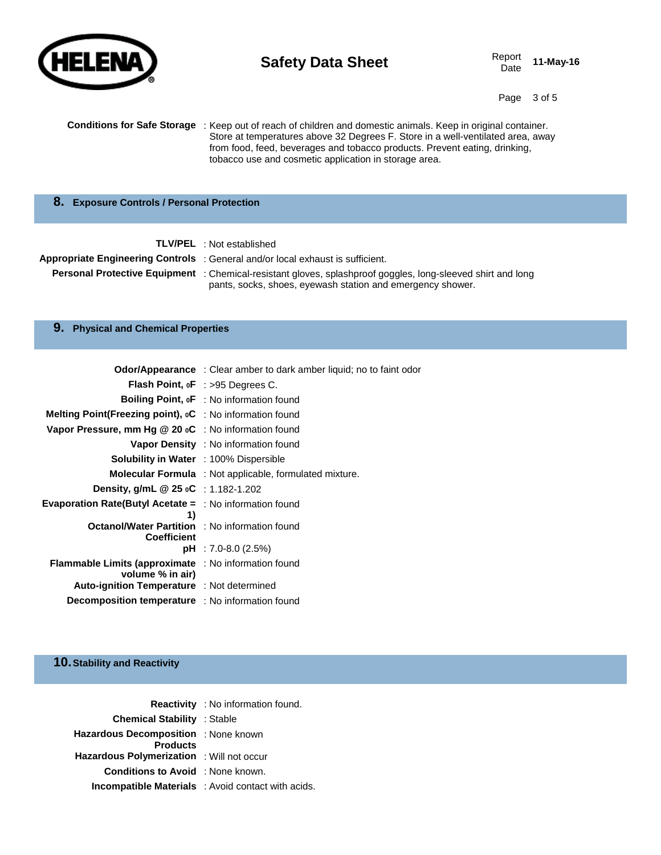

# **Safety Data Sheet** Report Report

Date **11-May-16**

Page 3 of 5

| <b>Conditions for Safe Storage</b> : Keep out of reach of children and domestic animals. Keep in original container. |
|----------------------------------------------------------------------------------------------------------------------|
| Store at temperatures above 32 Degrees F. Store in a well-ventilated area, away                                      |
| from food, feed, beverages and tobacco products. Prevent eating, drinking,                                           |
| tobacco use and cosmetic application in storage area.                                                                |

#### **8. Exposure Controls / Personal Protection**

| <b>TLV/PEL</b> : Not established |  |
|----------------------------------|--|
|                                  |  |

**Appropriate Engineering Controls** : General and/or local exhaust is sufficient.

**Personal Protective Equipment** : Chemical-resistant gloves, splashproof goggles, long-sleeved shirt and long pants, socks, shoes, eyewash station and emergency shower.

#### **9. Physical and Chemical Properties**

|                                                                                   | <b>Odor/Appearance</b> : Clear amber to dark amber liquid; no to faint odor |
|-----------------------------------------------------------------------------------|-----------------------------------------------------------------------------|
|                                                                                   | <b>Flash Point, oF</b> : >95 Degrees C.                                     |
|                                                                                   | Boiling Point, oF : No information found                                    |
| <b>Melting Point(Freezing point), <math>{}_{0}C</math></b> : No information found |                                                                             |
| Vapor Pressure, mm Hg @ 20 oC : No information found                              |                                                                             |
|                                                                                   | <b>Vapor Density</b> : No information found                                 |
| <b>Solubility in Water</b> : 100% Dispersible                                     |                                                                             |
|                                                                                   | Molecular Formula : Not applicable, formulated mixture.                     |
| Density, g/mL @ 25 oC : 1.182-1.202                                               |                                                                             |
| <b>Evaporation Rate(Butyl Acetate =</b> $\therefore$ No information found<br>1)   |                                                                             |
| <b>Octanol/Water Partition</b> : No information found<br><b>Coefficient</b>       |                                                                             |
|                                                                                   | $pH$ : 7.0-8.0 (2.5%)                                                       |
| <b>Flammable Limits (approximate</b> : No information found<br>volume % in air)   |                                                                             |
| Auto-ignition Temperature : Not determined                                        |                                                                             |
| <b>Decomposition temperature</b> : No information found                           |                                                                             |

## **10.Stability and Reactivity**

|                                                         | <b>Reactivity</b> : No information found.          |
|---------------------------------------------------------|----------------------------------------------------|
| <b>Chemical Stability</b> : Stable                      |                                                    |
| Hazardous Decomposition : None known<br><b>Products</b> |                                                    |
| <b>Hazardous Polymerization</b> : Will not occur        |                                                    |
| <b>Conditions to Avoid</b> : None known.                |                                                    |
|                                                         | Incompatible Materials : Avoid contact with acids. |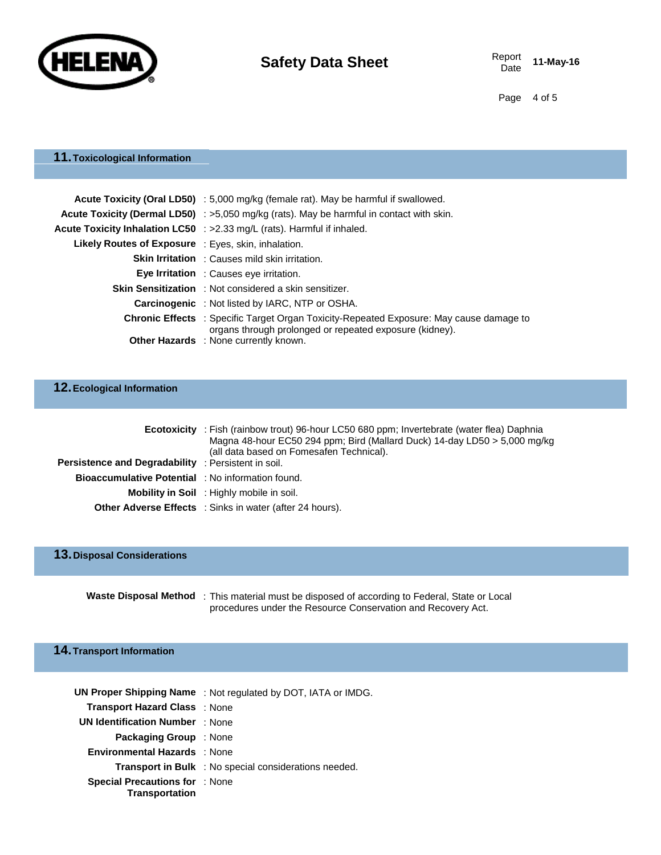

Date **11-May-16**

Page 4 of 5

## **11.Toxicological Information**

|                                                            | Acute Toxicity (Oral LD50) : 5,000 mg/kg (female rat). May be harmful if swallowed.                                                                       |  |
|------------------------------------------------------------|-----------------------------------------------------------------------------------------------------------------------------------------------------------|--|
|                                                            | <b>Acute Toxicity (Dermal LD50)</b> : $>5,050$ mg/kg (rats). May be harmful in contact with skin.                                                         |  |
|                                                            | Acute Toxicity Inhalation LC50 : >2.33 mg/L (rats). Harmful if inhaled.                                                                                   |  |
| <b>Likely Routes of Exposure</b> : Eyes, skin, inhalation. |                                                                                                                                                           |  |
|                                                            | <b>Skin Irritation</b> : Causes mild skin irritation.                                                                                                     |  |
|                                                            | <b>Eye Irritation</b> : Causes eye irritation.                                                                                                            |  |
|                                                            | <b>Skin Sensitization</b> : Not considered a skin sensitizer.                                                                                             |  |
|                                                            | <b>Carcinogenic</b> : Not listed by IARC, NTP or OSHA.                                                                                                    |  |
|                                                            | <b>Chronic Effects</b> : Specific Target Organ Toxicity-Repeated Exposure: May cause damage to<br>organs through prolonged or repeated exposure (kidney). |  |
|                                                            | <b>Other Hazards</b> : None currently known.                                                                                                              |  |

## **12.Ecological Information**

|                                                            | <b>Ecotoxicity</b> : Fish (rainbow trout) 96-hour LC50 680 ppm; Invertebrate (water flea) Daphnia<br>Magna 48-hour EC50 294 ppm; Bird (Mallard Duck) 14-day LD50 > 5,000 mg/kg<br>(all data based on Fomesafen Technical). |
|------------------------------------------------------------|----------------------------------------------------------------------------------------------------------------------------------------------------------------------------------------------------------------------------|
| <b>Persistence and Degradability</b> : Persistent in soil. |                                                                                                                                                                                                                            |
| <b>Bioaccumulative Potential</b> : No information found.   |                                                                                                                                                                                                                            |
|                                                            | Mobility in Soil: Highly mobile in soil.                                                                                                                                                                                   |
|                                                            | <b>Other Adverse Effects</b> : Sinks in water (after 24 hours).                                                                                                                                                            |

# **13.Disposal Considerations**

**Waste Disposal Method** : This material must be disposed of according to Federal, State or Local procedures under the Resource Conservation and Recovery Act.

#### **14.Transport Information**

|                                                                | <b>UN Proper Shipping Name</b> : Not regulated by DOT, IATA or IMDG. |
|----------------------------------------------------------------|----------------------------------------------------------------------|
| <b>Transport Hazard Class : None</b>                           |                                                                      |
| <b>UN Identification Number</b> : None                         |                                                                      |
| <b>Packaging Group</b> : None                                  |                                                                      |
| <b>Environmental Hazards</b> : None                            |                                                                      |
|                                                                | <b>Transport in Bulk</b> : No special considerations needed.         |
| <b>Special Precautions for : None</b><br><b>Transportation</b> |                                                                      |